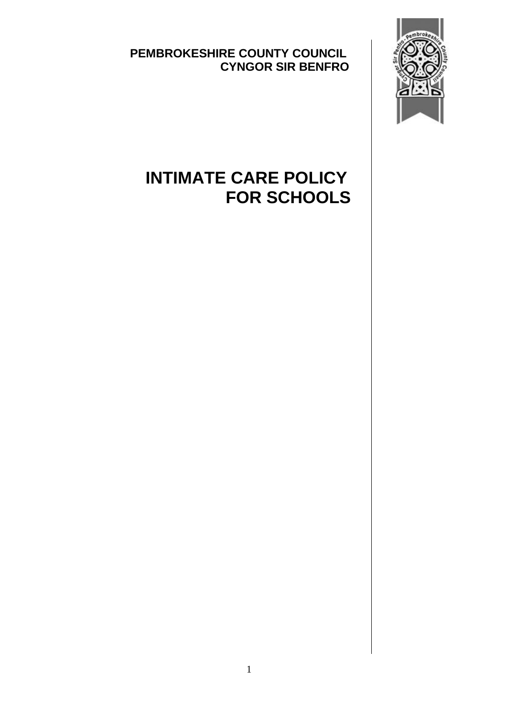**PEMBROKESHIRE COUNTY COUNCIL CYNGOR SIR BENFRO**



## **INTIMATE CARE POLICY FOR SCHOOLS**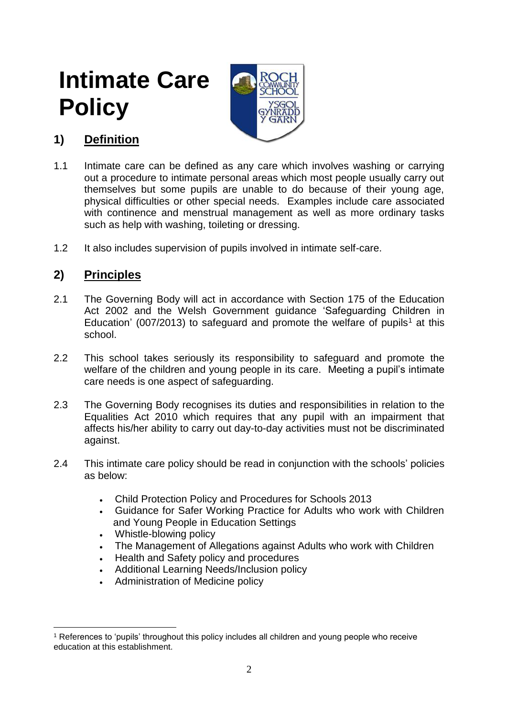# **Intimate Care Policy**



### **1) Definition**

- 1.1 Intimate care can be defined as any care which involves washing or carrying out a procedure to intimate personal areas which most people usually carry out themselves but some pupils are unable to do because of their young age, physical difficulties or other special needs. Examples include care associated with continence and menstrual management as well as more ordinary tasks such as help with washing, toileting or dressing.
- 1.2 It also includes supervision of pupils involved in intimate self-care.

#### **2) Principles**

- 2.1 The Governing Body will act in accordance with Section 175 of the Education Act 2002 and the Welsh Government guidance 'Safeguarding Children in Education' (007/2013) to safeguard and promote the welfare of pupils<sup>1</sup> at this school.
- 2.2 This school takes seriously its responsibility to safeguard and promote the welfare of the children and young people in its care. Meeting a pupil's intimate care needs is one aspect of safeguarding.
- 2.3 The Governing Body recognises its duties and responsibilities in relation to the Equalities Act 2010 which requires that any pupil with an impairment that affects his/her ability to carry out day-to-day activities must not be discriminated against.
- 2.4 This intimate care policy should be read in conjunction with the schools' policies as below:
	- Child Protection Policy and Procedures for Schools 2013
	- Guidance for Safer Working Practice for Adults who work with Children and Young People in Education Settings
	- Whistle-blowing policy
	- The Management of Allegations against Adults who work with Children
	- Health and Safety policy and procedures
	- Additional Learning Needs/Inclusion policy
	- Administration of Medicine policy

<sup>&</sup>lt;u>.</u> <sup>1</sup> References to 'pupils' throughout this policy includes all children and young people who receive education at this establishment.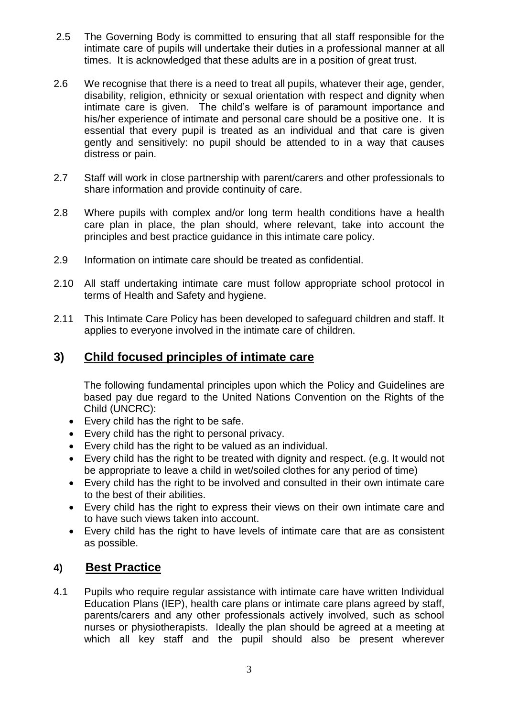- 2.5 The Governing Body is committed to ensuring that all staff responsible for the intimate care of pupils will undertake their duties in a professional manner at all times. It is acknowledged that these adults are in a position of great trust.
- 2.6 We recognise that there is a need to treat all pupils, whatever their age, gender, disability, religion, ethnicity or sexual orientation with respect and dignity when intimate care is given. The child's welfare is of paramount importance and his/her experience of intimate and personal care should be a positive one. It is essential that every pupil is treated as an individual and that care is given gently and sensitively: no pupil should be attended to in a way that causes distress or pain.
- 2.7 Staff will work in close partnership with parent/carers and other professionals to share information and provide continuity of care.
- 2.8 Where pupils with complex and/or long term health conditions have a health care plan in place, the plan should, where relevant, take into account the principles and best practice guidance in this intimate care policy.
- 2.9 Information on intimate care should be treated as confidential.
- 2.10 All staff undertaking intimate care must follow appropriate school protocol in terms of Health and Safety and hygiene.
- 2.11 This Intimate Care Policy has been developed to safeguard children and staff. It applies to everyone involved in the intimate care of children.

#### **3) Child focused principles of intimate care**

The following fundamental principles upon which the Policy and Guidelines are based pay due regard to the United Nations Convention on the Rights of the Child (UNCRC):

- Every child has the right to be safe.
- Every child has the right to personal privacy.
- Every child has the right to be valued as an individual.
- Every child has the right to be treated with dignity and respect. (e.g. It would not be appropriate to leave a child in wet/soiled clothes for any period of time)
- Every child has the right to be involved and consulted in their own intimate care to the best of their abilities.
- Every child has the right to express their views on their own intimate care and to have such views taken into account.
- Every child has the right to have levels of intimate care that are as consistent as possible.

#### **4) Best Practice**

4.1 Pupils who require regular assistance with intimate care have written Individual Education Plans (IEP), health care plans or intimate care plans agreed by staff, parents/carers and any other professionals actively involved, such as school nurses or physiotherapists. Ideally the plan should be agreed at a meeting at which all key staff and the pupil should also be present wherever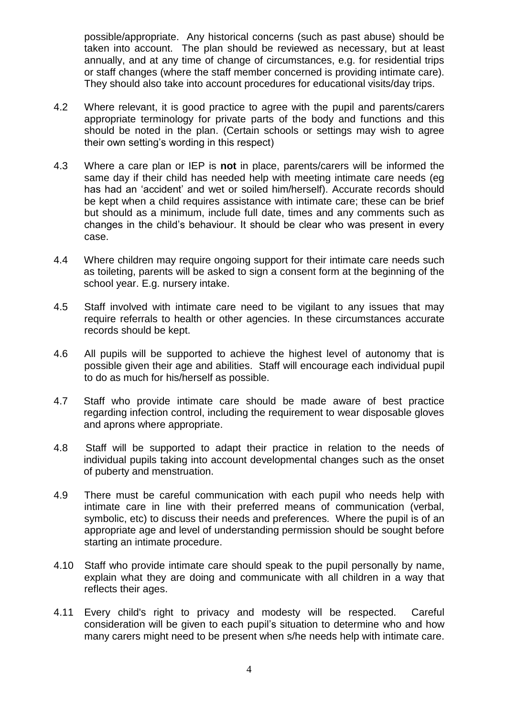possible/appropriate. Any historical concerns (such as past abuse) should be taken into account. The plan should be reviewed as necessary, but at least annually, and at any time of change of circumstances, e.g. for residential trips or staff changes (where the staff member concerned is providing intimate care). They should also take into account procedures for educational visits/day trips.

- 4.2 Where relevant, it is good practice to agree with the pupil and parents/carers appropriate terminology for private parts of the body and functions and this should be noted in the plan. (Certain schools or settings may wish to agree their own setting's wording in this respect)
- 4.3 Where a care plan or IEP is **not** in place, parents/carers will be informed the same day if their child has needed help with meeting intimate care needs (eg has had an 'accident' and wet or soiled him/herself). Accurate records should be kept when a child requires assistance with intimate care; these can be brief but should as a minimum, include full date, times and any comments such as changes in the child's behaviour. It should be clear who was present in every case.
- 4.4 Where children may require ongoing support for their intimate care needs such as toileting, parents will be asked to sign a consent form at the beginning of the school year. E.g. nursery intake.
- 4.5 Staff involved with intimate care need to be vigilant to any issues that may require referrals to health or other agencies. In these circumstances accurate records should be kept.
- 4.6 All pupils will be supported to achieve the highest level of autonomy that is possible given their age and abilities. Staff will encourage each individual pupil to do as much for his/herself as possible.
- 4.7 Staff who provide intimate care should be made aware of best practice regarding infection control, including the requirement to wear disposable gloves and aprons where appropriate.
- 4.8 Staff will be supported to adapt their practice in relation to the needs of individual pupils taking into account developmental changes such as the onset of puberty and menstruation.
- 4.9 There must be careful communication with each pupil who needs help with intimate care in line with their preferred means of communication (verbal, symbolic, etc) to discuss their needs and preferences. Where the pupil is of an appropriate age and level of understanding permission should be sought before starting an intimate procedure.
- 4.10 Staff who provide intimate care should speak to the pupil personally by name, explain what they are doing and communicate with all children in a way that reflects their ages.
- 4.11 Every child's right to privacy and modesty will be respected. Careful consideration will be given to each pupil's situation to determine who and how many carers might need to be present when s/he needs help with intimate care.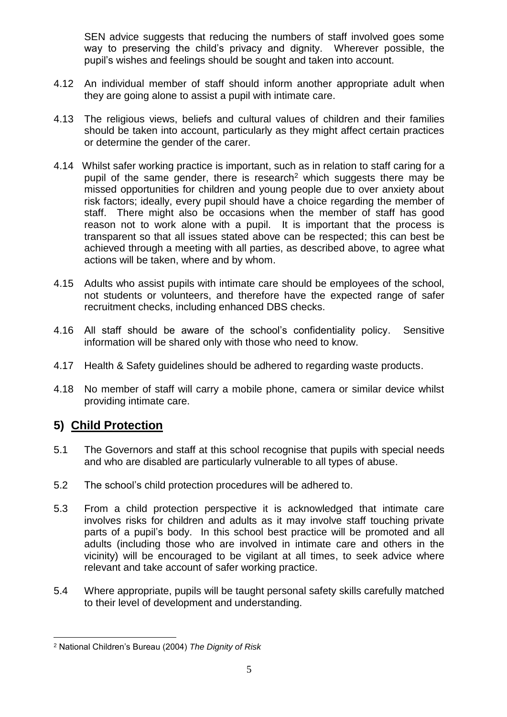SEN advice suggests that reducing the numbers of staff involved goes some way to preserving the child's privacy and dignity. Wherever possible, the pupil's wishes and feelings should be sought and taken into account.

- 4.12 An individual member of staff should inform another appropriate adult when they are going alone to assist a pupil with intimate care.
- 4.13 The religious views, beliefs and cultural values of children and their families should be taken into account, particularly as they might affect certain practices or determine the gender of the carer.
- 4.14 Whilst safer working practice is important, such as in relation to staff caring for a pupil of the same gender, there is research<sup>2</sup> which suggests there may be missed opportunities for children and young people due to over anxiety about risk factors; ideally, every pupil should have a choice regarding the member of staff. There might also be occasions when the member of staff has good reason not to work alone with a pupil. It is important that the process is transparent so that all issues stated above can be respected; this can best be achieved through a meeting with all parties, as described above, to agree what actions will be taken, where and by whom.
- 4.15 Adults who assist pupils with intimate care should be employees of the school, not students or volunteers, and therefore have the expected range of safer recruitment checks, including enhanced DBS checks.
- 4.16 All staff should be aware of the school's confidentiality policy. Sensitive information will be shared only with those who need to know.
- 4.17 Health & Safety guidelines should be adhered to regarding waste products.
- 4.18 No member of staff will carry a mobile phone, camera or similar device whilst providing intimate care.

#### **5) Child Protection**

- 5.1 The Governors and staff at this school recognise that pupils with special needs and who are disabled are particularly vulnerable to all types of abuse.
- 5.2 The school's child protection procedures will be adhered to.
- 5.3 From a child protection perspective it is acknowledged that intimate care involves risks for children and adults as it may involve staff touching private parts of a pupil's body. In this school best practice will be promoted and all adults (including those who are involved in intimate care and others in the vicinity) will be encouraged to be vigilant at all times, to seek advice where relevant and take account of safer working practice.
- 5.4 Where appropriate, pupils will be taught personal safety skills carefully matched to their level of development and understanding.

<sup>1</sup> <sup>2</sup> National Children's Bureau (2004) *The Dignity of Risk*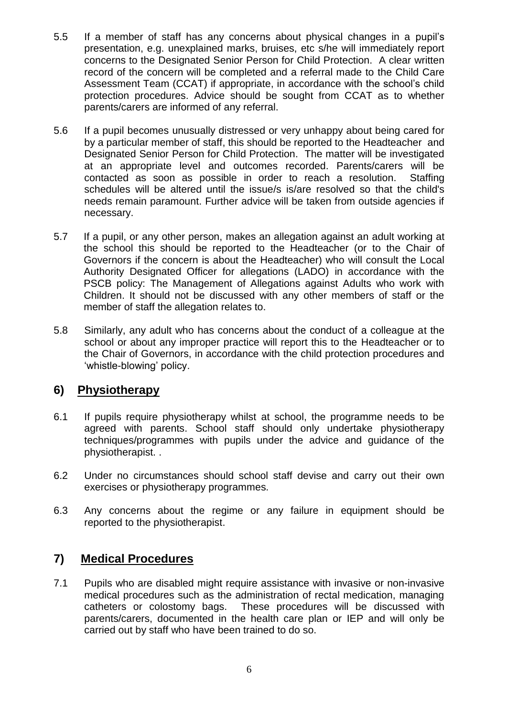- 5.5 If a member of staff has any concerns about physical changes in a pupil's presentation, e.g. unexplained marks, bruises, etc s/he will immediately report concerns to the Designated Senior Person for Child Protection. A clear written record of the concern will be completed and a referral made to the Child Care Assessment Team (CCAT) if appropriate, in accordance with the school's child protection procedures. Advice should be sought from CCAT as to whether parents/carers are informed of any referral.
- 5.6 If a pupil becomes unusually distressed or very unhappy about being cared for by a particular member of staff, this should be reported to the Headteacher and Designated Senior Person for Child Protection. The matter will be investigated at an appropriate level and outcomes recorded. Parents/carers will be contacted as soon as possible in order to reach a resolution. Staffing schedules will be altered until the issue/s is/are resolved so that the child's needs remain paramount. Further advice will be taken from outside agencies if necessary.
- 5.7 If a pupil, or any other person, makes an allegation against an adult working at the school this should be reported to the Headteacher (or to the Chair of Governors if the concern is about the Headteacher) who will consult the Local Authority Designated Officer for allegations (LADO) in accordance with the PSCB policy: The Management of Allegations against Adults who work with Children. It should not be discussed with any other members of staff or the member of staff the allegation relates to.
- 5.8 Similarly, any adult who has concerns about the conduct of a colleague at the school or about any improper practice will report this to the Headteacher or to the Chair of Governors, in accordance with the child protection procedures and 'whistle-blowing' policy.

#### **6) Physiotherapy**

- 6.1 If pupils require physiotherapy whilst at school, the programme needs to be agreed with parents. School staff should only undertake physiotherapy techniques/programmes with pupils under the advice and guidance of the physiotherapist. .
- 6.2 Under no circumstances should school staff devise and carry out their own exercises or physiotherapy programmes.
- 6.3 Any concerns about the regime or any failure in equipment should be reported to the physiotherapist.

#### **7) Medical Procedures**

7.1 Pupils who are disabled might require assistance with invasive or non-invasive medical procedures such as the administration of rectal medication, managing catheters or colostomy bags. These procedures will be discussed with parents/carers, documented in the health care plan or IEP and will only be carried out by staff who have been trained to do so.